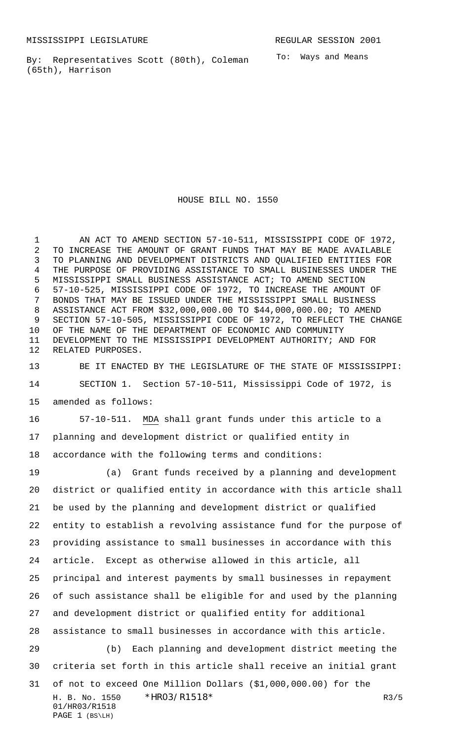PAGE 1 (BS\LH)

By: Representatives Scott (80th), Coleman (65th), Harrison

To: Ways and Means

HOUSE BILL NO. 1550

1 AN ACT TO AMEND SECTION 57-10-511, MISSISSIPPI CODE OF 1972, TO INCREASE THE AMOUNT OF GRANT FUNDS THAT MAY BE MADE AVAILABLE TO PLANNING AND DEVELOPMENT DISTRICTS AND QUALIFIED ENTITIES FOR THE PURPOSE OF PROVIDING ASSISTANCE TO SMALL BUSINESSES UNDER THE MISSISSIPPI SMALL BUSINESS ASSISTANCE ACT; TO AMEND SECTION 57-10-525, MISSISSIPPI CODE OF 1972, TO INCREASE THE AMOUNT OF BONDS THAT MAY BE ISSUED UNDER THE MISSISSIPPI SMALL BUSINESS ASSISTANCE ACT FROM \$32,000,000.00 TO \$44,000,000.00; TO AMEND SECTION 57-10-505, MISSISSIPPI CODE OF 1972, TO REFLECT THE CHANGE OF THE NAME OF THE DEPARTMENT OF ECONOMIC AND COMMUNITY DEVELOPMENT TO THE MISSISSIPPI DEVELOPMENT AUTHORITY; AND FOR RELATED PURPOSES.

 BE IT ENACTED BY THE LEGISLATURE OF THE STATE OF MISSISSIPPI: SECTION 1. Section 57-10-511, Mississippi Code of 1972, is amended as follows:

 57-10-511. MDA shall grant funds under this article to a planning and development district or qualified entity in accordance with the following terms and conditions:

H. B. No. 1550 \*HRO3/R1518\* R3/5 01/HR03/R1518 (a) Grant funds received by a planning and development district or qualified entity in accordance with this article shall be used by the planning and development district or qualified entity to establish a revolving assistance fund for the purpose of providing assistance to small businesses in accordance with this article. Except as otherwise allowed in this article, all principal and interest payments by small businesses in repayment of such assistance shall be eligible for and used by the planning and development district or qualified entity for additional assistance to small businesses in accordance with this article. (b) Each planning and development district meeting the criteria set forth in this article shall receive an initial grant of not to exceed One Million Dollars (\$1,000,000.00) for the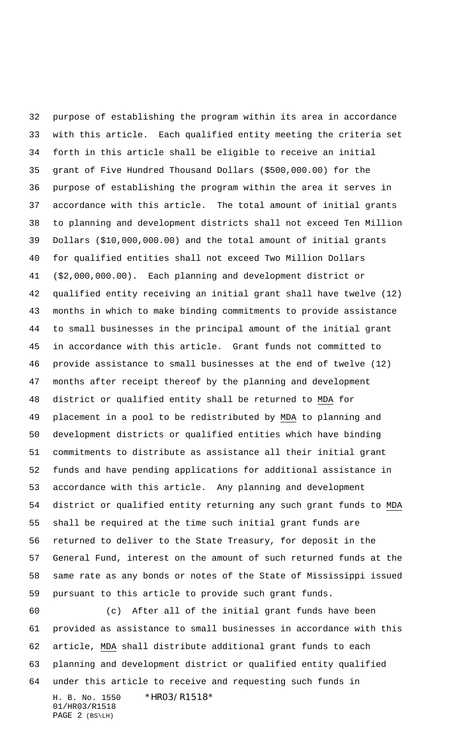purpose of establishing the program within its area in accordance with this article. Each qualified entity meeting the criteria set forth in this article shall be eligible to receive an initial grant of Five Hundred Thousand Dollars (\$500,000.00) for the purpose of establishing the program within the area it serves in accordance with this article. The total amount of initial grants to planning and development districts shall not exceed Ten Million Dollars (\$10,000,000.00) and the total amount of initial grants for qualified entities shall not exceed Two Million Dollars (\$2,000,000.00). Each planning and development district or qualified entity receiving an initial grant shall have twelve (12) months in which to make binding commitments to provide assistance to small businesses in the principal amount of the initial grant in accordance with this article. Grant funds not committed to provide assistance to small businesses at the end of twelve (12) months after receipt thereof by the planning and development district or qualified entity shall be returned to MDA for placement in a pool to be redistributed by MDA to planning and development districts or qualified entities which have binding commitments to distribute as assistance all their initial grant funds and have pending applications for additional assistance in accordance with this article. Any planning and development district or qualified entity returning any such grant funds to MDA shall be required at the time such initial grant funds are returned to deliver to the State Treasury, for deposit in the General Fund, interest on the amount of such returned funds at the same rate as any bonds or notes of the State of Mississippi issued pursuant to this article to provide such grant funds.

H. B. No. 1550 \*HR03/R1518\* 01/HR03/R1518 (c) After all of the initial grant funds have been provided as assistance to small businesses in accordance with this article, MDA shall distribute additional grant funds to each planning and development district or qualified entity qualified under this article to receive and requesting such funds in

PAGE 2 (BS\LH)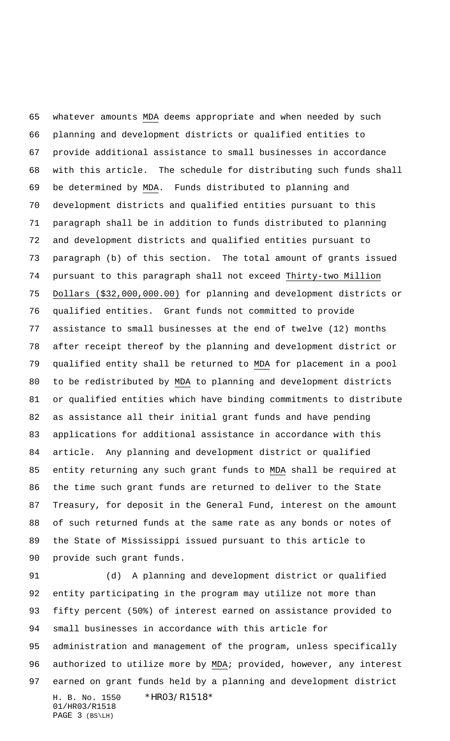whatever amounts MDA deems appropriate and when needed by such planning and development districts or qualified entities to provide additional assistance to small businesses in accordance with this article. The schedule for distributing such funds shall be determined by MDA. Funds distributed to planning and development districts and qualified entities pursuant to this paragraph shall be in addition to funds distributed to planning and development districts and qualified entities pursuant to paragraph (b) of this section. The total amount of grants issued pursuant to this paragraph shall not exceed Thirty-two Million Dollars (\$32,000,000.00) for planning and development districts or qualified entities. Grant funds not committed to provide assistance to small businesses at the end of twelve (12) months after receipt thereof by the planning and development district or qualified entity shall be returned to MDA for placement in a pool to be redistributed by MDA to planning and development districts or qualified entities which have binding commitments to distribute as assistance all their initial grant funds and have pending applications for additional assistance in accordance with this article. Any planning and development district or qualified entity returning any such grant funds to MDA shall be required at the time such grant funds are returned to deliver to the State Treasury, for deposit in the General Fund, interest on the amount of such returned funds at the same rate as any bonds or notes of the State of Mississippi issued pursuant to this article to provide such grant funds.

H. B. No. 1550 \*HR03/R1518\* 01/HR03/R1518 PAGE 3 (BS\LH) (d) A planning and development district or qualified entity participating in the program may utilize not more than fifty percent (50%) of interest earned on assistance provided to small businesses in accordance with this article for administration and management of the program, unless specifically authorized to utilize more by MDA; provided, however, any interest earned on grant funds held by a planning and development district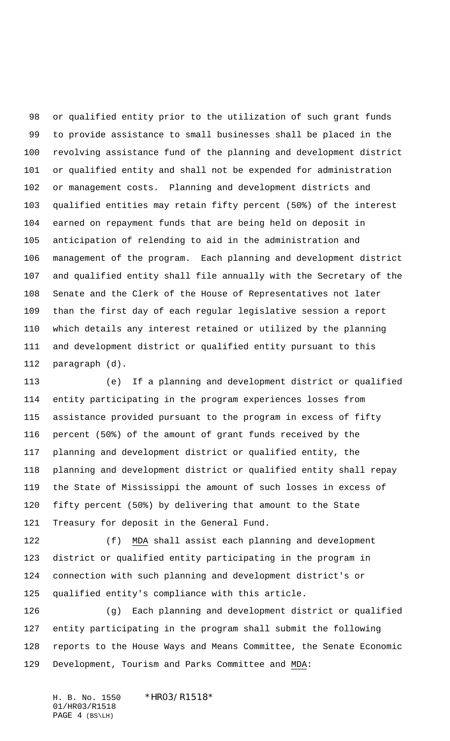or qualified entity prior to the utilization of such grant funds to provide assistance to small businesses shall be placed in the revolving assistance fund of the planning and development district or qualified entity and shall not be expended for administration or management costs. Planning and development districts and qualified entities may retain fifty percent (50%) of the interest earned on repayment funds that are being held on deposit in anticipation of relending to aid in the administration and management of the program. Each planning and development district and qualified entity shall file annually with the Secretary of the Senate and the Clerk of the House of Representatives not later than the first day of each regular legislative session a report which details any interest retained or utilized by the planning and development district or qualified entity pursuant to this paragraph (d).

 (e) If a planning and development district or qualified entity participating in the program experiences losses from assistance provided pursuant to the program in excess of fifty percent (50%) of the amount of grant funds received by the planning and development district or qualified entity, the planning and development district or qualified entity shall repay the State of Mississippi the amount of such losses in excess of fifty percent (50%) by delivering that amount to the State Treasury for deposit in the General Fund.

 (f) MDA shall assist each planning and development district or qualified entity participating in the program in connection with such planning and development district's or qualified entity's compliance with this article.

 (g) Each planning and development district or qualified entity participating in the program shall submit the following reports to the House Ways and Means Committee, the Senate Economic Development, Tourism and Parks Committee and MDA:

H. B. No. 1550 \*HR03/R1518\* 01/HR03/R1518 PAGE 4 (BS\LH)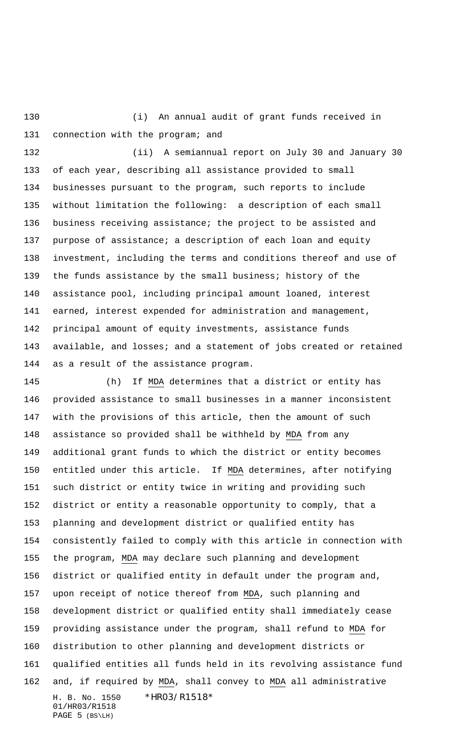(i) An annual audit of grant funds received in 131 connection with the program; and

 (ii) A semiannual report on July 30 and January 30 of each year, describing all assistance provided to small businesses pursuant to the program, such reports to include without limitation the following: a description of each small business receiving assistance; the project to be assisted and purpose of assistance; a description of each loan and equity investment, including the terms and conditions thereof and use of the funds assistance by the small business; history of the assistance pool, including principal amount loaned, interest earned, interest expended for administration and management, principal amount of equity investments, assistance funds available, and losses; and a statement of jobs created or retained as a result of the assistance program.

H. B. No. 1550 \*HR03/R1518\* 01/HR03/R1518 PAGE 5 (BS\LH) (h) If MDA determines that a district or entity has provided assistance to small businesses in a manner inconsistent with the provisions of this article, then the amount of such assistance so provided shall be withheld by MDA from any additional grant funds to which the district or entity becomes entitled under this article. If MDA determines, after notifying such district or entity twice in writing and providing such district or entity a reasonable opportunity to comply, that a planning and development district or qualified entity has consistently failed to comply with this article in connection with the program, MDA may declare such planning and development district or qualified entity in default under the program and, upon receipt of notice thereof from MDA, such planning and development district or qualified entity shall immediately cease providing assistance under the program, shall refund to MDA for distribution to other planning and development districts or qualified entities all funds held in its revolving assistance fund and, if required by MDA, shall convey to MDA all administrative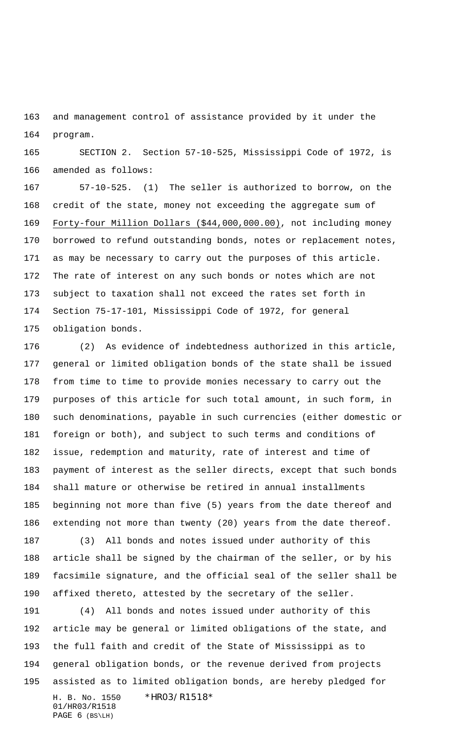and management control of assistance provided by it under the program.

 SECTION 2. Section 57-10-525, Mississippi Code of 1972, is amended as follows:

 57-10-525. (1) The seller is authorized to borrow, on the credit of the state, money not exceeding the aggregate sum of Forty-four Million Dollars (\$44,000,000.00), not including money borrowed to refund outstanding bonds, notes or replacement notes, as may be necessary to carry out the purposes of this article. The rate of interest on any such bonds or notes which are not subject to taxation shall not exceed the rates set forth in Section 75-17-101, Mississippi Code of 1972, for general obligation bonds.

 (2) As evidence of indebtedness authorized in this article, general or limited obligation bonds of the state shall be issued from time to time to provide monies necessary to carry out the purposes of this article for such total amount, in such form, in such denominations, payable in such currencies (either domestic or foreign or both), and subject to such terms and conditions of issue, redemption and maturity, rate of interest and time of payment of interest as the seller directs, except that such bonds shall mature or otherwise be retired in annual installments beginning not more than five (5) years from the date thereof and extending not more than twenty (20) years from the date thereof.

 (3) All bonds and notes issued under authority of this article shall be signed by the chairman of the seller, or by his facsimile signature, and the official seal of the seller shall be affixed thereto, attested by the secretary of the seller.

H. B. No. 1550 \*HR03/R1518\* 01/HR03/R1518 PAGE 6 (BS\LH) (4) All bonds and notes issued under authority of this article may be general or limited obligations of the state, and the full faith and credit of the State of Mississippi as to general obligation bonds, or the revenue derived from projects assisted as to limited obligation bonds, are hereby pledged for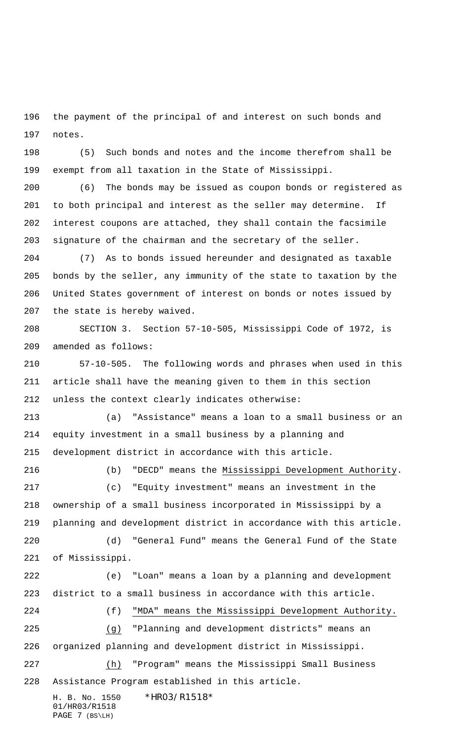the payment of the principal of and interest on such bonds and notes.

 (5) Such bonds and notes and the income therefrom shall be exempt from all taxation in the State of Mississippi.

 (6) The bonds may be issued as coupon bonds or registered as to both principal and interest as the seller may determine. If interest coupons are attached, they shall contain the facsimile signature of the chairman and the secretary of the seller.

 (7) As to bonds issued hereunder and designated as taxable bonds by the seller, any immunity of the state to taxation by the United States government of interest on bonds or notes issued by the state is hereby waived.

 SECTION 3. Section 57-10-505, Mississippi Code of 1972, is amended as follows:

 57-10-505. The following words and phrases when used in this article shall have the meaning given to them in this section unless the context clearly indicates otherwise:

 (a) "Assistance" means a loan to a small business or an equity investment in a small business by a planning and development district in accordance with this article.

 (b) "DECD" means the Mississippi Development Authority. (c) "Equity investment" means an investment in the ownership of a small business incorporated in Mississippi by a planning and development district in accordance with this article. (d) "General Fund" means the General Fund of the State of Mississippi. (e) "Loan" means a loan by a planning and development district to a small business in accordance with this article. (f) "MDA" means the Mississippi Development Authority. (g) "Planning and development districts" means an organized planning and development district in Mississippi. (h) "Program" means the Mississippi Small Business

Assistance Program established in this article.

H. B. No. 1550 \*HR03/R1518\* 01/HR03/R1518 PAGE 7 (BS\LH)